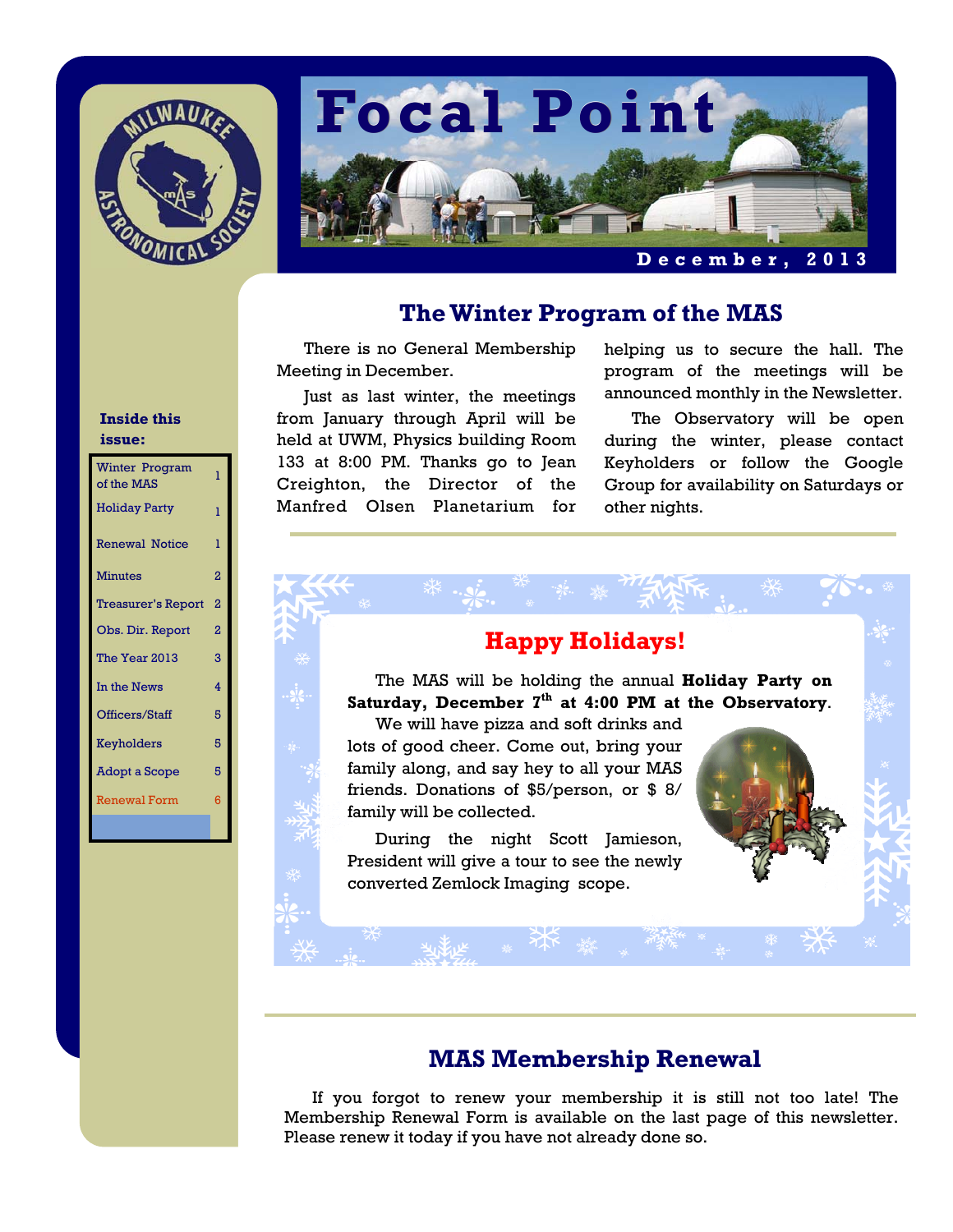



### **The Winter Program of the MAS**

There is no General Membership Meeting in December.

 Just as last winter, the meetings from January through April will be held at UWM, Physics building Room 133 at 8:00 PM. Thanks go to Jean Creighton, the Director of the Manfred Olsen Planetarium for helping us to secure the hall. The program of the meetings will be announced monthly in the Newsletter.

 The Observatory will be open during the winter, please contact Keyholders or follow the Google Group for availability on Saturdays or other nights.

# **Happy Holidays!**

The MAS will be holding the annual **Holiday Party on**  Saturday, December 7<sup>th</sup> at 4:00 PM at the Observatory.

 We will have pizza and soft drinks and lots of good cheer. Come out, bring your family along, and say hey to all your MAS friends. Donations of \$5/person, or \$ 8/ family will be collected.

 During the night Scott Jamieson, President will give a tour to see the newly converted Zemlock Imaging scope.

## **MAS Membership Renewal**

 If you forgot to renew your membership it is still not too late! The Membership Renewal Form is available on the last page of this newsletter. Please renew it today if you have not already done so.

#### **Inside this issue:**

| <b>Winter Program</b><br>of the MAS | ī |
|-------------------------------------|---|
| <b>Holiday Party</b>                | 1 |
| <b>Renewal Notice</b>               | ı |
| <b>Minutes</b>                      | 2 |
| <b>Treasurer's Report</b>           | 2 |
| Obs. Dir. Report                    | 2 |
| The Year 2013                       | 3 |
| In the News                         | 4 |
| Officers/Staff                      | 5 |
| Keyholders                          | 5 |
| <b>Adopt a Scope</b>                | 5 |
| <b>Renewal Form</b>                 | 6 |
|                                     |   |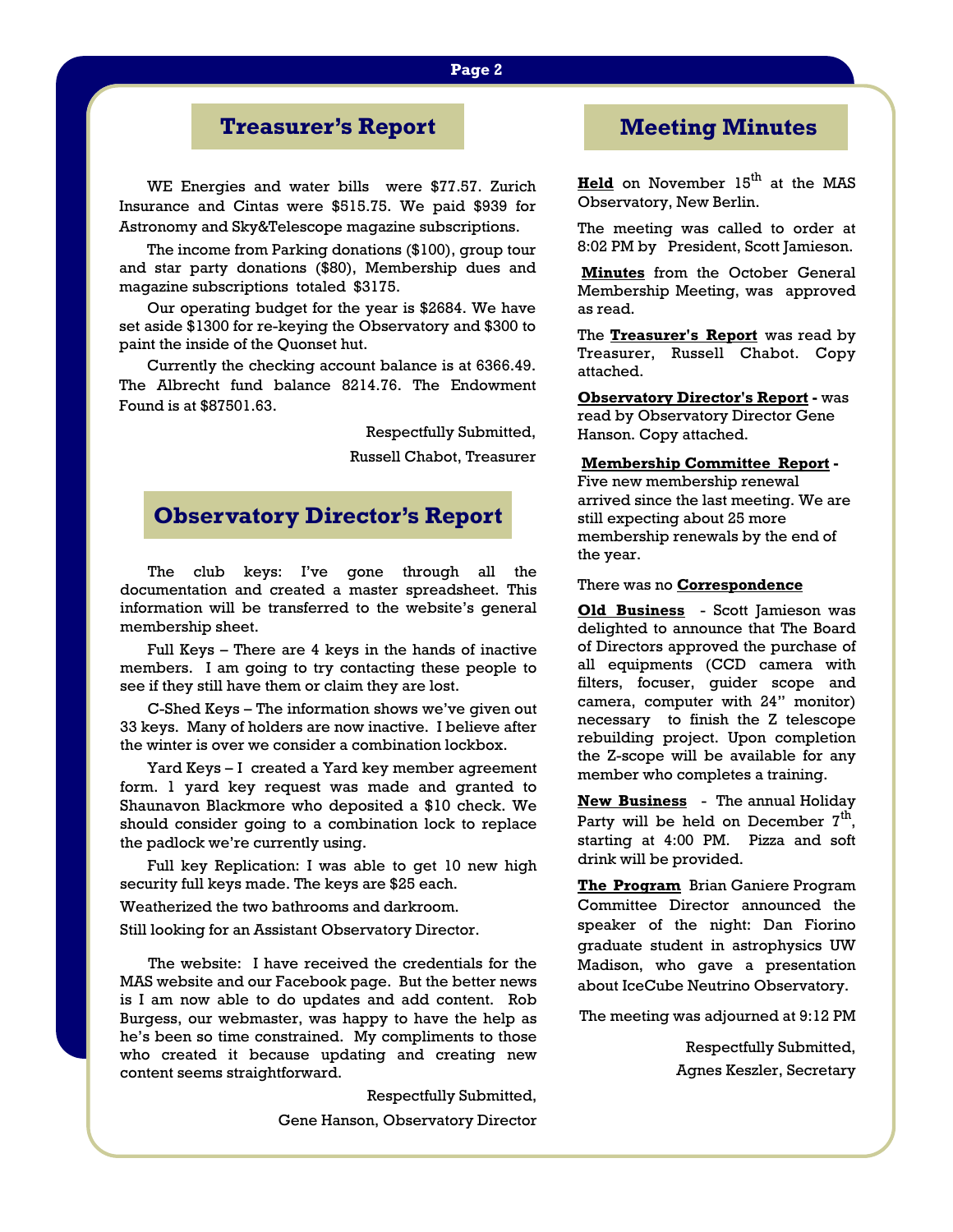#### **Page 2**

# **Treasurer's Report**

WE Energies and water bills were \$77.57. Zurich Insurance and Cintas were \$515.75. We paid \$939 for Astronomy and Sky&Telescope magazine subscriptions.

 The income from Parking donations (\$100), group tour and star party donations (\$80), Membership dues and magazine subscriptions totaled \$3175.

 Our operating budget for the year is \$2684. We have set aside \$1300 for re-keying the Observatory and \$300 to paint the inside of the Quonset hut.

 Currently the checking account balance is at 6366.49. The Albrecht fund balance 8214.76. The Endowment Found is at \$87501.63.

> Respectfully Submitted, Russell Chabot, Treasurer

**Observatory Director's Report** 

The club keys: I've gone through all the documentation and created a master spreadsheet. This information will be transferred to the website's general membership sheet.

 Full Keys – There are 4 keys in the hands of inactive members. I am going to try contacting these people to see if they still have them or claim they are lost.

 C-Shed Keys – The information shows we've given out 33 keys. Many of holders are now inactive. I believe after the winter is over we consider a combination lockbox.

 Yard Keys – I created a Yard key member agreement form. 1 yard key request was made and granted to Shaunavon Blackmore who deposited a \$10 check. We should consider going to a combination lock to replace the padlock we're currently using.

 Full key Replication: I was able to get 10 new high security full keys made. The keys are \$25 each.

Weatherized the two bathrooms and darkroom.

Still looking for an Assistant Observatory Director.

 The website: I have received the credentials for the MAS website and our Facebook page. But the better news is I am now able to do updates and add content. Rob Burgess, our webmaster, was happy to have the help as he's been so time constrained. My compliments to those who created it because updating and creating new content seems straightforward.

> Respectfully Submitted, Gene Hanson, Observatory Director

### **Meeting Minutes**

**Held** on November 15<sup>th</sup> at the MAS Observatory, New Berlin.

The meeting was called to order at 8:02 PM by President, Scott Jamieson.

**Minutes** from the October General Membership Meeting, was approved as read.

The **Treasurer's Report** was read by Treasurer, Russell Chabot. Copy attached.

**Observatory Director's Report -** was read by Observatory Director Gene Hanson. Copy attached.

#### **Membership Committee Report -**

Five new membership renewal arrived since the last meeting. We are still expecting about 25 more membership renewals by the end of the year.

#### There was no **Correspondence**

**Old Business** - Scott Jamieson was delighted to announce that The Board of Directors approved the purchase of all equipments (CCD camera with filters, focuser, guider scope and camera, computer with 24" monitor) necessary to finish the Z telescope rebuilding project. Upon completion the Z-scope will be available for any member who completes a training.

**New Business** - The annual Holiday Party will be held on December  $7<sup>th</sup>$ , starting at 4:00 PM. Pizza and soft drink will be provided.

**The Program** Brian Ganiere Program Committee Director announced the speaker of the night: Dan Fiorino graduate student in astrophysics UW Madison, who gave a presentation about IceCube Neutrino Observatory.

The meeting was adjourned at 9:12 PM

Respectfully Submitted, Agnes Keszler, Secretary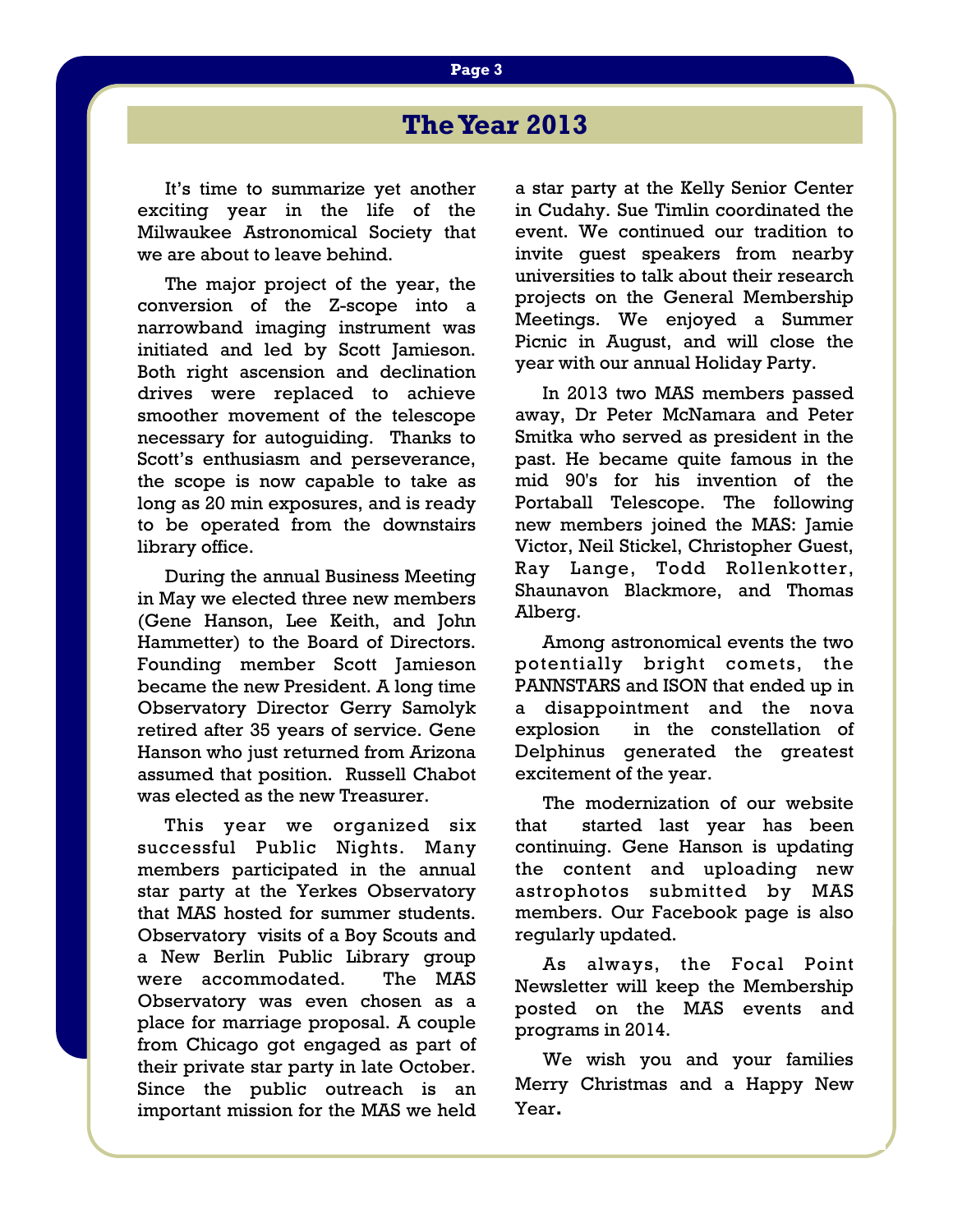#### **Page 3**

# **The Year 2013**

It's time to summarize yet another exciting year in the life of the Milwaukee Astronomical Society that we are about to leave behind.

 The major project of the year, the conversion of the Z-scope into a narrowband imaging instrument was initiated and led by Scott Jamieson. Both right ascension and declination drives were replaced to achieve smoother movement of the telescope necessary for autoguiding. Thanks to Scott's enthusiasm and perseverance, the scope is now capable to take as long as 20 min exposures, and is ready to be operated from the downstairs library office.

 During the annual Business Meeting in May we elected three new members (Gene Hanson, Lee Keith, and John Hammetter) to the Board of Directors. Founding member Scott Jamieson became the new President. A long time Observatory Director Gerry Samolyk retired after 35 years of service. Gene Hanson who just returned from Arizona assumed that position. Russell Chabot was elected as the new Treasurer.

 This year we organized six successful Public Nights. Many members participated in the annual star party at the Yerkes Observatory that MAS hosted for summer students. Observatory visits of a Boy Scouts and a New Berlin Public Library group were accommodated. The MAS Observatory was even chosen as a place for marriage proposal. A couple from Chicago got engaged as part of their private star party in late October. Since the public outreach is an important mission for the MAS we held a star party at the Kelly Senior Center in Cudahy. Sue Timlin coordinated the event. We continued our tradition to invite guest speakers from nearby universities to talk about their research projects on the General Membership Meetings. We enjoyed a Summer Picnic in August, and will close the year with our annual Holiday Party.

 In 2013 two MAS members passed away, Dr Peter McNamara and Peter Smitka who served as president in the past. He became quite famous in the mid 90's for his invention of the Portaball Telescope. The following new members joined the MAS: Jamie Victor, Neil Stickel, Christopher Guest, Ray Lange, Todd Rollenkotter, Shaunavon Blackmore, and Thomas Alberg.

 Among astronomical events the two potentially bright comets, the PANNSTARS and ISON that ended up in a disappointment and the nova explosion in the constellation of Delphinus generated the greatest excitement of the year.

 The modernization of our website that started last year has been continuing. Gene Hanson is updating the content and uploading new astrophotos submitted by MAS members. Our Facebook page is also regularly updated.

 As always, the Focal Point Newsletter will keep the Membership posted on the MAS events and programs in 2014.

We wish you and your families Merry Christmas and a Happy New Year**.**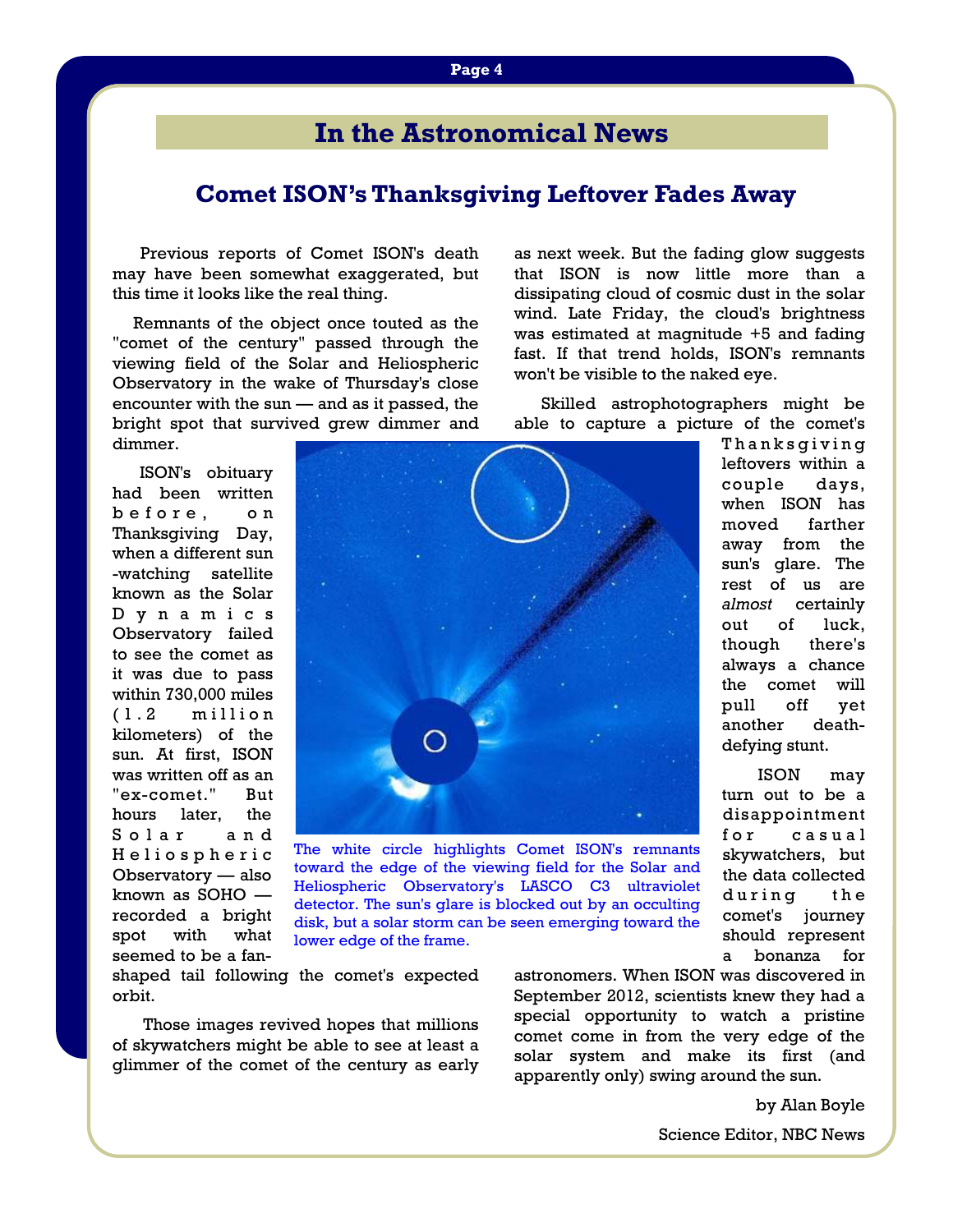# **In the Astronomical News**

### **Comet ISON's Thanksgiving Leftover Fades Away**

Previous reports of Comet ISON's death may have been somewhat exaggerated, but this time it looks like the real thing.

 Remnants of the object once touted as the "comet of the century" passed through the viewing field of the Solar and Heliospheric Observatory in the wake of Thursday's close encounter with the sun  $-$  and as it passed, the bright spot that survived grew dimmer and dimmer.

 ISON's obituary had been written before, on Thanksgiving Day, when a different sun -watching satellite known as the Solar D y n a m i c s Observatory failed to see the comet as it was due to pass within 730,000 miles  $(1.2 \tmin1$ kilometers) of the sun. At first, ISON was written off as an "ex-comet." But hours later, the Solar and H e l i o s p h e r i c Observatory — also known as SOHO recorded a bright spot with what seemed to be a fan-



The white circle highlights Comet ISON's remnants toward the edge of the viewing field for the Solar and Heliospheric Observatory's LASCO C3 ultraviolet detector. The sun's glare is blocked out by an occulting disk, but a solar storm can be seen emerging toward the lower edge of the frame.

shaped tail following the comet's expected orbit.

 Those images revived hopes that millions of skywatchers might be able to see at least a glimmer of the comet of the century as early astronomers. When ISON was discovered in September 2012, scientists knew they had a special opportunity to watch a pristine comet come in from the very edge of the solar system and make its first (and apparently only) swing around the sun.

by Alan Boyle

Science Editor, NBC News

as next week. But the fading glow suggests that ISON is now little more than a dissipating cloud of cosmic dust in the solar wind. Late Friday, the cloud's brightness was estimated at magnitude +5 and fading fast. If that trend holds, ISON's remnants won't be visible to the naked eye.

 Skilled astrophotographers might be able to capture a picture of the comet's

> Thanksqivinq leftovers within a couple days, when ISON has moved farther away from the sun's glare. The rest of us are *almost* certainly out of luck, though there's always a chance the comet will pull off yet another deathdefying stunt.

> ISON may turn out to be a disappointment for casual skywatchers, but the data collected during the comet's journey should represent a bonanza for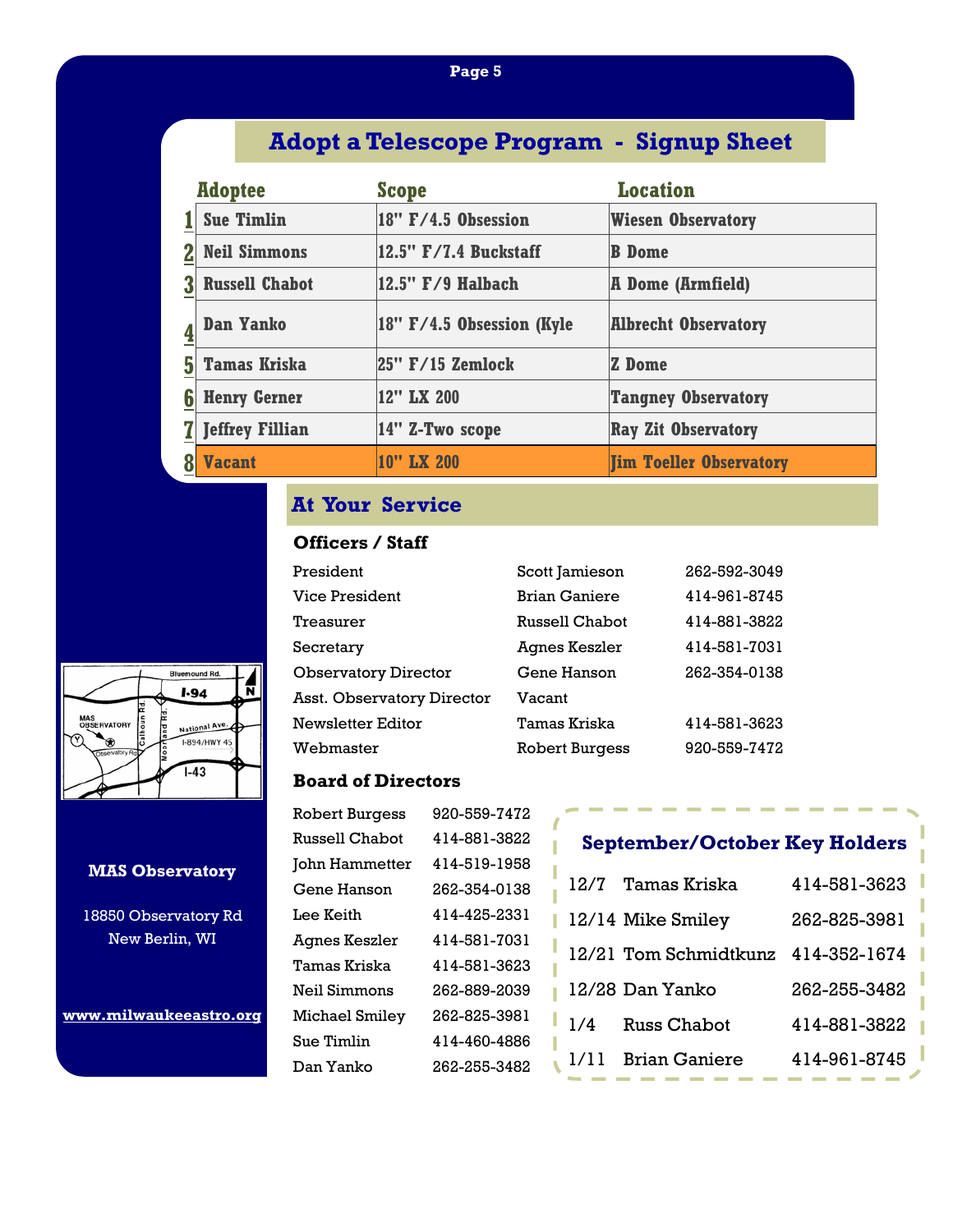#### **Page 5**

# **Adopt a Telescope Program - Signup Sheet**

|   | <b>Adoptee</b>         | <b>Scope</b>                  | <b>Location</b>                |
|---|------------------------|-------------------------------|--------------------------------|
|   | <b>Sue Timlin</b>      | $18"$ F/4.5 Obsession         | <b>Wiesen Observatory</b>      |
|   | <b>Neil Simmons</b>    | 12.5" F/7.4 Buckstaff         | <b>B</b> Dome                  |
|   | <b>Russell Chabot</b>  | $ 12.5"$ $F/9$ Halbach        | <b>A Dome (Armfield)</b>       |
|   | <b>Dan Yanko</b>       | $ 18"$ F/4.5 Obsession (Kyle) | <b>Albrecht Observatory</b>    |
| 5 | <b>Tamas Kriska</b>    | $ 25"$ F/15 Zemlock           | <b>Z</b> Dome                  |
| 6 | <b>Henry Gerner</b>    | 12" LX 200                    | <b>Tangney Observatory</b>     |
|   | <b>Jeffrey Fillian</b> | $ 14"$ Z-Two scope            | <b>Ray Zit Observatory</b>     |
|   | <b>Vacant</b>          | 10" LX 200                    | <b>Jim Toeller Observatory</b> |

# **At Your Service**

#### **Officers / Staff**

| President                   | Scott Jamieson        | 262-592-3049 |
|-----------------------------|-----------------------|--------------|
| Vice President              | <b>Brian Ganiere</b>  | 414-961-8745 |
| Treasurer                   | Russell Chabot        | 414-881-3822 |
| Secretary                   | Agnes Keszler         | 414-581-7031 |
| <b>Observatory Director</b> | Gene Hanson           | 262-354-0138 |
| Asst. Observatory Director  | Vacant                |              |
| Newsletter Editor           | Tamas Kriska          | 414-581-3623 |
| Webmaster                   | <b>Robert Burgess</b> | 920-559-7472 |

### **Board of Directors**

| <b>Robert Burgess</b> | 920-559-7472 |
|-----------------------|--------------|
| <b>Russell Chabot</b> | 414-881-3822 |
| John Hammetter        | 414-519-1958 |
| Gene Hanson           | 262-354-0138 |
| Lee Keith             | 414-425-2331 |
| Agnes Keszler         | 414-581-7031 |
| Tamas Kriska          | 414-581-3623 |
| Neil Simmons          | 262-889-2039 |
| Michael Smiley        | 262-825-3981 |
| Sue Timlin            | 414-460-4886 |
| Dan Yanko             | 262-255-3482 |
|                       |              |

# **September/October Key Holders**

|      | 12/7 Tamas Kriska                  | 414-581-3623 |
|------|------------------------------------|--------------|
|      | 12/14 Mike Smiley                  | 262-825-3981 |
|      | 12/21 Tom Schmidtkunz 414-352-1674 |              |
|      | 12/28 Dan Yanko                    | 262-255-3482 |
| 1/4  | <b>Russ Chabot</b>                 | 414-881-3822 |
| 1/11 | Brian Ganiere                      | 414-961-8745 |



#### **MAS Observatory**

18850 Observatory Rd New Berlin, WI

**www.milwaukeeastro.org**